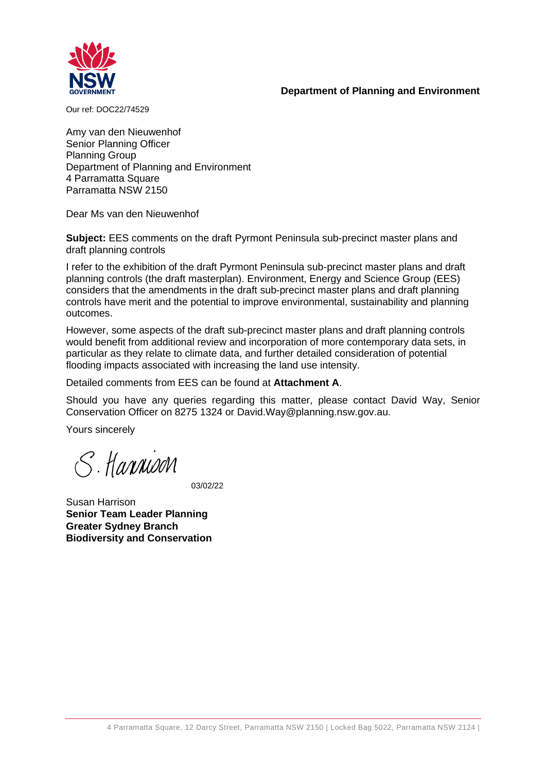#### **Department of Planning and Environment**



Our ref: DOC22/74529

Amy van den Nieuwenhof Senior Planning Officer Planning Group Department of Planning and Environment 4 Parramatta Square Parramatta NSW 2150

Dear Ms van den Nieuwenhof

**Subject:** EES comments on the draft Pyrmont Peninsula sub-precinct master plans and draft planning controls

I refer to the exhibition of the draft Pyrmont Peninsula sub-precinct master plans and draft planning controls (the draft masterplan). Environment, Energy and Science Group (EES) considers that the amendments in the draft sub-precinct master plans and draft planning controls have merit and the potential to improve environmental, sustainability and planning outcomes.

However, some aspects of the draft sub-precinct master plans and draft planning controls would benefit from additional review and incorporation of more contemporary data sets, in particular as they relate to climate data, and further detailed consideration of potential flooding impacts associated with increasing the land use intensity.

Detailed comments from EES can be found at **Attachment A**.

Should you have any queries regarding this matter, please contact David Way, Senior Conservation Officer on 8275 1324 or David.Way@planning.nsw.gov.au.

Yours sincerely

S. Harnison

03/02/22

Susan Harrison **Senior Team Leader Planning Greater Sydney Branch Biodiversity and Conservation**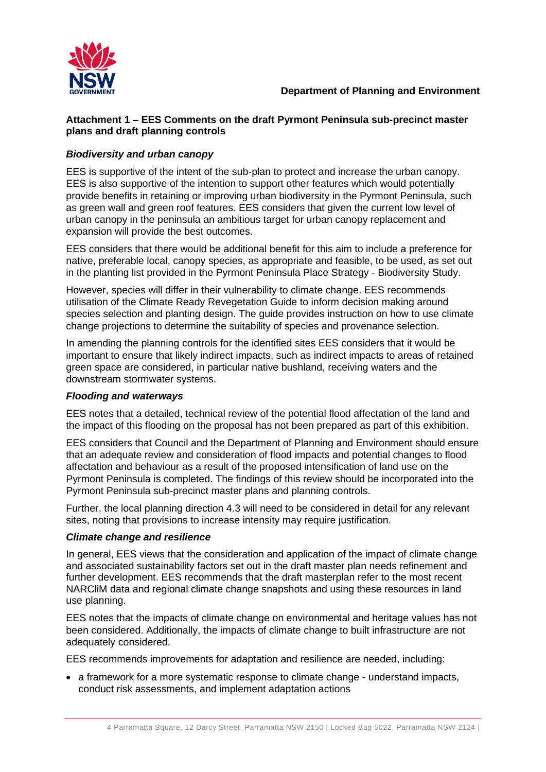

## **Attachment 1 – EES Comments on the draft Pyrmont Peninsula sub-precinct master plans and draft planning controls**

# *Biodiversity and urban canopy*

EES is supportive of the intent of the sub-plan to protect and increase the urban canopy. EES is also supportive of the intention to support other features which would potentially provide benefits in retaining or improving urban biodiversity in the Pyrmont Peninsula, such as green wall and green roof features. EES considers that given the current low level of urban canopy in the peninsula an ambitious target for urban canopy replacement and expansion will provide the best outcomes.

EES considers that there would be additional benefit for this aim to include a preference for native, preferable local, canopy species, as appropriate and feasible, to be used, as set out in the planting list provided in the Pyrmont Peninsula Place Strategy - Biodiversity Study.

However, species will differ in their vulnerability to climate change. EES recommends utilisation of the [Climate Ready Revegetation Guide](https://www.mq.edu.au/__data/assets/pdf_file/0006/807666/Climate-Reveg-Guide-v2-2018.pdf) to inform decision making around species selection and planting design. The guide provides instruction on how to use climate change projections to determine the suitability of species and provenance selection.

In amending the planning controls for the identified sites EES considers that it would be important to ensure that likely indirect impacts, such as indirect impacts to areas of retained green space are considered, in particular native bushland, receiving waters and the downstream stormwater systems.

## *Flooding and waterways*

EES notes that a detailed, technical review of the potential flood affectation of the land and the impact of this flooding on the proposal has not been prepared as part of this exhibition.

EES considers that Council and the Department of Planning and Environment should ensure that an adequate review and consideration of flood impacts and potential changes to flood affectation and behaviour as a result of the proposed intensification of land use on the Pyrmont Peninsula is completed. The findings of this review should be incorporated into the Pyrmont Peninsula sub-precinct master plans and planning controls.

Further, the local planning direction 4.3 will need to be considered in detail for any relevant sites, noting that provisions to increase intensity may require justification.

## *Climate change and resilience*

In general, EES views that the consideration and application of the impact of climate change and associated sustainability factors set out in the draft master plan needs refinement and further development. EES recommends that the draft masterplan refer to the most recent NARCliM data and regional climate change snapshots and using these resources in land use planning.

EES notes that the impacts of climate change on environmental and heritage values has not been considered. Additionally, the impacts of climate change to built infrastructure are not adequately considered.

EES recommends improvements for adaptation and resilience are needed, including:

• a framework for a more systematic response to climate change - understand impacts, conduct risk assessments, and implement adaptation actions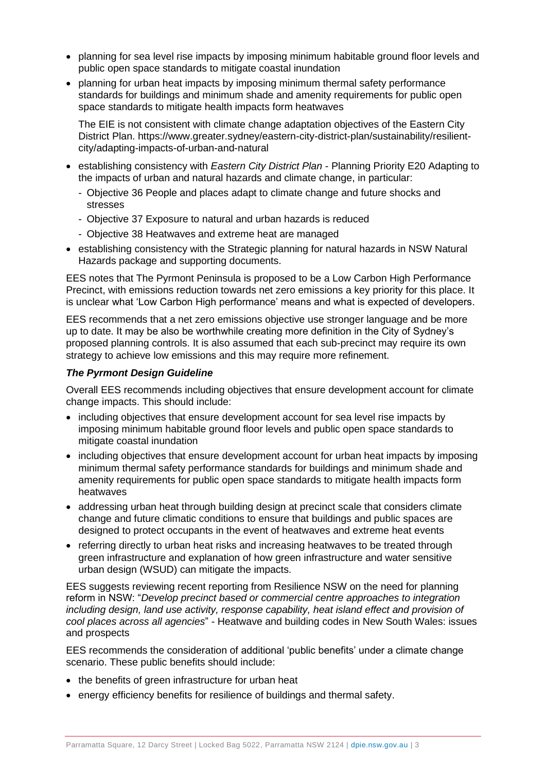- planning for sea level rise impacts by imposing minimum habitable ground floor levels and public open space standards to mitigate coastal inundation
- planning for urban heat impacts by imposing minimum thermal safety performance standards for buildings and minimum shade and amenity requirements for public open space standards to mitigate health impacts form heatwaves

The EIE is not consistent with climate change adaptation objectives of the Eastern City District Plan. https://www.greater.sydney/eastern-city-district-plan/sustainability/resilientcity/adapting-impacts-of-urban-and-natural

- establishing consistency with *Eastern City District Plan* Planning Priority E20 Adapting to the impacts of urban and natural hazards and climate change, in particular:
	- Objective 36 People and places adapt to climate change and future shocks and stresses
	- Objective 37 Exposure to natural and urban hazards is reduced
	- Objective 38 Heatwaves and extreme heat are managed
- establishing consistency with the Strategic planning for natural hazards in NSW Natural Hazards package and supporting documents.

EES notes that The Pyrmont Peninsula is proposed to be a Low Carbon High Performance Precinct, with emissions reduction towards net zero emissions a key priority for this place. It is unclear what 'Low Carbon High performance' means and what is expected of developers.

EES recommends that a net zero emissions objective use stronger language and be more up to date. It may be also be worthwhile creating more definition in the City of Sydney's proposed planning controls. It is also assumed that each sub-precinct may require its own strategy to achieve low emissions and this may require more refinement.

#### *The Pyrmont Design Guideline*

Overall EES recommends including objectives that ensure development account for climate change impacts. This should include:

- including objectives that ensure development account for [sea level rise impacts](https://climatechange.environment.nsw.gov.au/Impacts-of-climate-change/Coasts-and-sea-level-rise) by imposing minimum habitable ground floor levels and public open space standards to mitigate coastal inundation
- including objectives that ensure development account for [urban heat impacts](https://climatechange.environment.nsw.gov.au/Impacts-of-climate-change/Heat) by imposing minimum thermal safety performance standards for buildings and minimum shade and amenity requirements for public open space standards to mitigate health impacts form heatwaves
- addressing urban heat through building design at precinct scale that considers climate change and future climatic conditions to ensure that buildings and public spaces are designed to protect occupants in the event of heatwaves and extreme heat events
- referring directly to urban heat risks and increasing heatwaves to be treated through green infrastructure and explanation of how green infrastructure and water sensitive urban design (WSUD) can mitigate the impacts.

EES suggests reviewing recent reporting from Resilience NSW on the need for planning reform in NSW: "*Develop precinct based or commercial centre approaches to integration including design, land use activity, response capability, heat island effect and provision of cool places across all agencies*" - [Heatwave and building codes in New South Wales: issues](https://www.bnhcrc.com.au/sites/default/files/managed/downloads/heatwave_and_building_codes_in_nsw_final_report_200521_0.pdf)  [and prospects](https://www.bnhcrc.com.au/sites/default/files/managed/downloads/heatwave_and_building_codes_in_nsw_final_report_200521_0.pdf)

EES recommends the consideration of additional 'public benefits' under a climate change scenario. These public benefits should include:

- the benefits of green infrastructure for urban heat
- energy efficiency benefits for resilience of buildings and thermal safety.